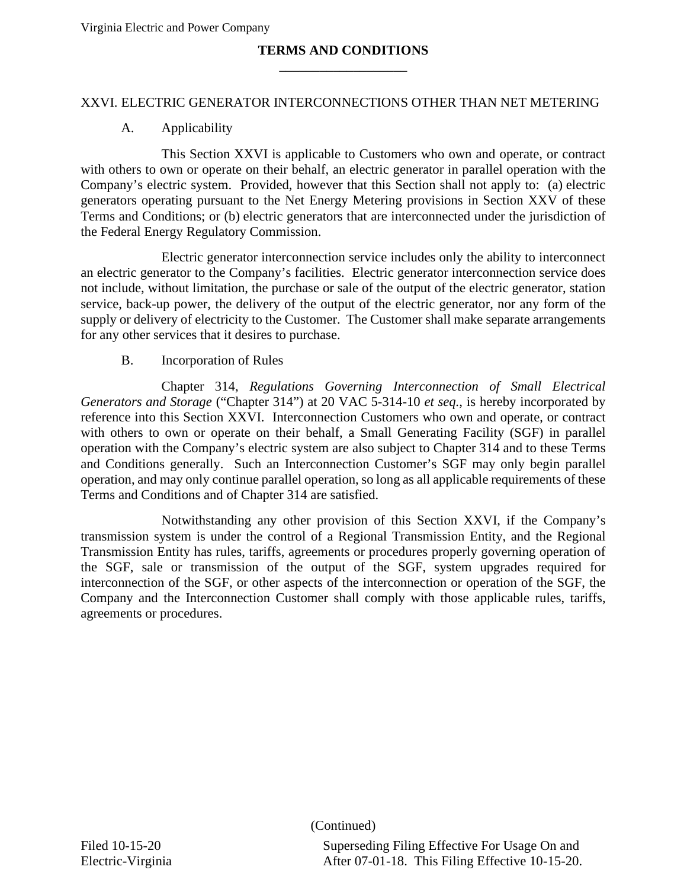## **TERMS AND CONDITIONS** \_\_\_\_\_\_\_\_\_\_\_\_\_\_\_\_\_\_\_

#### XXVI. ELECTRIC GENERATOR INTERCONNECTIONS OTHER THAN NET METERING

#### A. Applicability

This Section XXVI is applicable to Customers who own and operate, or contract with others to own or operate on their behalf, an electric generator in parallel operation with the Company's electric system. Provided, however that this Section shall not apply to: (a) electric generators operating pursuant to the Net Energy Metering provisions in Section XXV of these Terms and Conditions; or (b) electric generators that are interconnected under the jurisdiction of the Federal Energy Regulatory Commission.

Electric generator interconnection service includes only the ability to interconnect an electric generator to the Company's facilities. Electric generator interconnection service does not include, without limitation, the purchase or sale of the output of the electric generator, station service, back-up power, the delivery of the output of the electric generator, nor any form of the supply or delivery of electricity to the Customer. The Customer shall make separate arrangements for any other services that it desires to purchase.

#### B. Incorporation of Rules

Chapter 314, *Regulations Governing Interconnection of Small Electrical Generators and Storage* ("Chapter 314") at 20 VAC 5-314-10 *et seq.*, is hereby incorporated by reference into this Section XXVI. Interconnection Customers who own and operate, or contract with others to own or operate on their behalf, a Small Generating Facility (SGF) in parallel operation with the Company's electric system are also subject to Chapter 314 and to these Terms and Conditions generally. Such an Interconnection Customer's SGF may only begin parallel operation, and may only continue parallel operation, so long as all applicable requirements of these Terms and Conditions and of Chapter 314 are satisfied.

Notwithstanding any other provision of this Section XXVI, if the Company's transmission system is under the control of a Regional Transmission Entity, and the Regional Transmission Entity has rules, tariffs, agreements or procedures properly governing operation of the SGF, sale or transmission of the output of the SGF, system upgrades required for interconnection of the SGF, or other aspects of the interconnection or operation of the SGF, the Company and the Interconnection Customer shall comply with those applicable rules, tariffs, agreements or procedures.

(Continued)

Filed 10-15-20 Superseding Filing Effective For Usage On and Electric-Virginia After 07-01-18. This Filing Effective 10-15-20.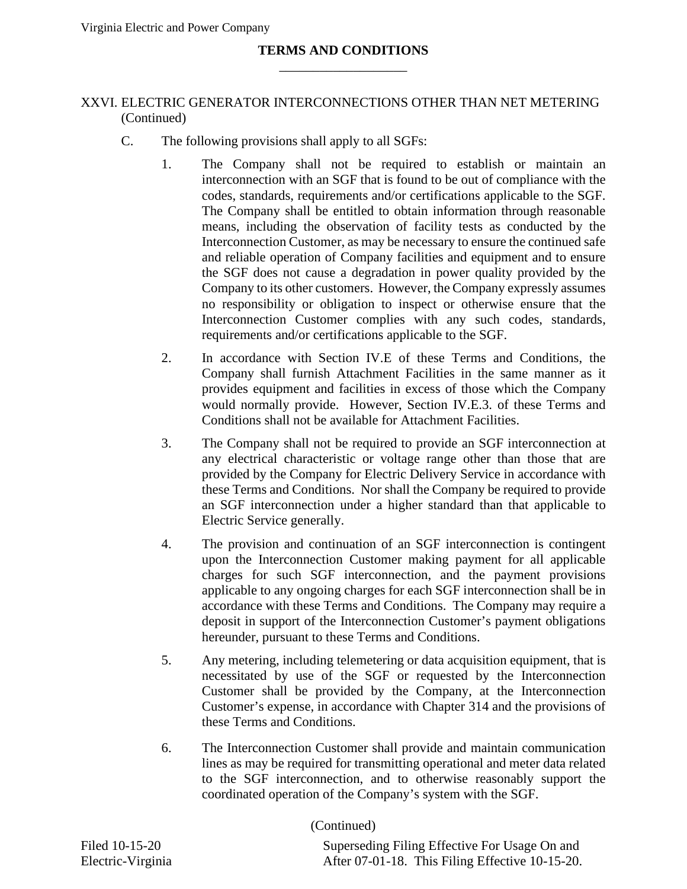## **TERMS AND CONDITIONS** \_\_\_\_\_\_\_\_\_\_\_\_\_\_\_\_\_\_\_

## XXVI. ELECTRIC GENERATOR INTERCONNECTIONS OTHER THAN NET METERING (Continued)

- C. The following provisions shall apply to all SGFs:
	- 1. The Company shall not be required to establish or maintain an interconnection with an SGF that is found to be out of compliance with the codes, standards, requirements and/or certifications applicable to the SGF. The Company shall be entitled to obtain information through reasonable means, including the observation of facility tests as conducted by the Interconnection Customer, as may be necessary to ensure the continued safe and reliable operation of Company facilities and equipment and to ensure the SGF does not cause a degradation in power quality provided by the Company to its other customers. However, the Company expressly assumes no responsibility or obligation to inspect or otherwise ensure that the Interconnection Customer complies with any such codes, standards, requirements and/or certifications applicable to the SGF.
	- 2. In accordance with Section IV.E of these Terms and Conditions, the Company shall furnish Attachment Facilities in the same manner as it provides equipment and facilities in excess of those which the Company would normally provide. However, Section IV.E.3. of these Terms and Conditions shall not be available for Attachment Facilities.
	- 3. The Company shall not be required to provide an SGF interconnection at any electrical characteristic or voltage range other than those that are provided by the Company for Electric Delivery Service in accordance with these Terms and Conditions. Nor shall the Company be required to provide an SGF interconnection under a higher standard than that applicable to Electric Service generally.
	- 4. The provision and continuation of an SGF interconnection is contingent upon the Interconnection Customer making payment for all applicable charges for such SGF interconnection, and the payment provisions applicable to any ongoing charges for each SGF interconnection shall be in accordance with these Terms and Conditions. The Company may require a deposit in support of the Interconnection Customer's payment obligations hereunder, pursuant to these Terms and Conditions.
	- 5. Any metering, including telemetering or data acquisition equipment, that is necessitated by use of the SGF or requested by the Interconnection Customer shall be provided by the Company, at the Interconnection Customer's expense, in accordance with Chapter 314 and the provisions of these Terms and Conditions.
	- 6. The Interconnection Customer shall provide and maintain communication lines as may be required for transmitting operational and meter data related to the SGF interconnection, and to otherwise reasonably support the coordinated operation of the Company's system with the SGF.

(Continued)

Filed 10-15-20 Superseding Filing Effective For Usage On and Electric-Virginia After 07-01-18. This Filing Effective 10-15-20.